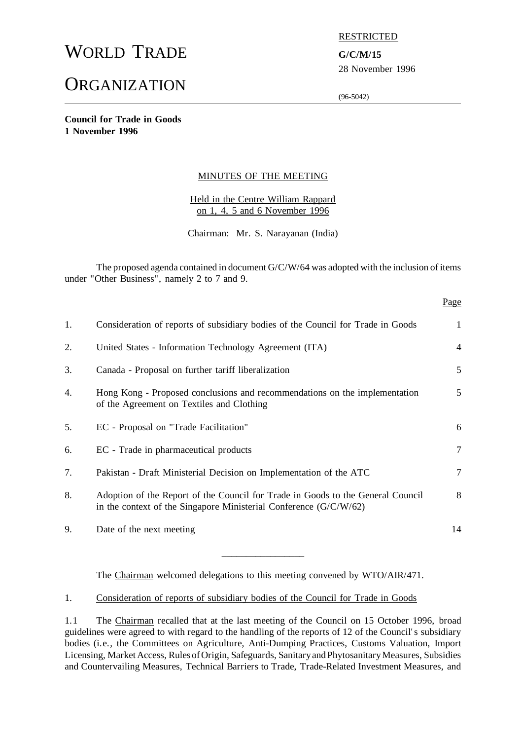# WORLD TRADE **G/C/M/15**

## **ORGANIZATION**

#### RESTRICTED

28 November 1996

(96-5042)

**Council for Trade in Goods 1 November 1996**

#### MINUTES OF THE MEETING

Held in the Centre William Rappard on 1, 4, 5 and 6 November 1996

Chairman: Mr. S. Narayanan (India)

The proposed agenda contained in document G/C/W/64 was adopted with the inclusion of items under "Other Business", namely 2 to 7 and 9.

|    |                                                                                                                                                        | Page           |
|----|--------------------------------------------------------------------------------------------------------------------------------------------------------|----------------|
| 1. | Consideration of reports of subsidiary bodies of the Council for Trade in Goods                                                                        | 1              |
| 2. | United States - Information Technology Agreement (ITA)                                                                                                 | $\overline{4}$ |
| 3. | Canada - Proposal on further tariff liberalization                                                                                                     | 5              |
| 4. | Hong Kong - Proposed conclusions and recommendations on the implementation<br>of the Agreement on Textiles and Clothing                                | 5              |
| 5. | EC - Proposal on "Trade Facilitation"                                                                                                                  | 6              |
| 6. | EC - Trade in pharmaceutical products                                                                                                                  | 7              |
| 7. | Pakistan - Draft Ministerial Decision on Implementation of the ATC                                                                                     | 7              |
| 8. | Adoption of the Report of the Council for Trade in Goods to the General Council<br>in the context of the Singapore Ministerial Conference $(G/C/W/62)$ | 8              |
| 9. | Date of the next meeting                                                                                                                               | 14             |

The Chairman welcomed delegations to this meeting convened by WTO/AIR/471.

\_\_\_\_\_\_\_\_\_\_\_\_\_\_\_\_\_

#### 1. Consideration of reports of subsidiary bodies of the Council for Trade in Goods

1.1 The Chairman recalled that at the last meeting of the Council on 15 October 1996, broad guidelines were agreed to with regard to the handling of the reports of 12 of the Council's subsidiary bodies (i.e., the Committees on Agriculture, Anti-Dumping Practices, Customs Valuation, Import Licensing, Market Access, Rules of Origin, Safeguards, Sanitary and Phytosanitary Measures, Subsidies and Countervailing Measures, Technical Barriers to Trade, Trade-Related Investment Measures, and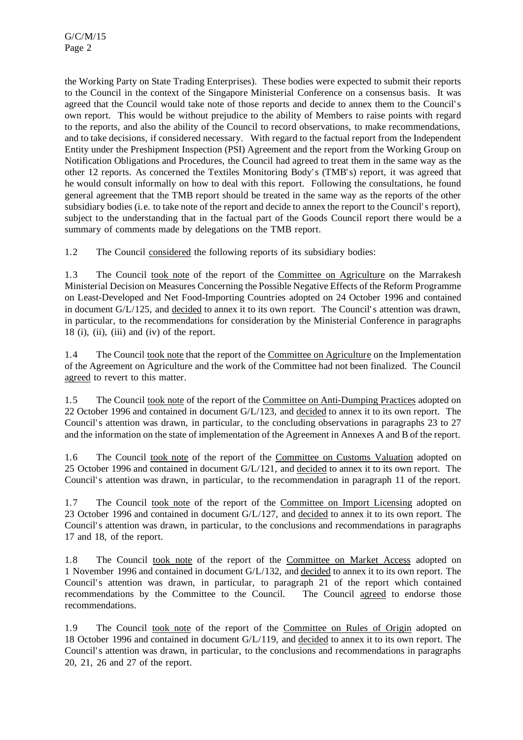the Working Party on State Trading Enterprises). These bodies were expected to submit their reports to the Council in the context of the Singapore Ministerial Conference on a consensus basis. It was agreed that the Council would take note of those reports and decide to annex them to the Council's own report. This would be without prejudice to the ability of Members to raise points with regard to the reports, and also the ability of the Council to record observations, to make recommendations, and to take decisions, if considered necessary. With regard to the factual report from the Independent Entity under the Preshipment Inspection (PSI) Agreement and the report from the Working Group on Notification Obligations and Procedures, the Council had agreed to treat them in the same way as the other 12 reports. As concerned the Textiles Monitoring Body's (TMB's) report, it was agreed that he would consult informally on how to deal with this report. Following the consultations, he found general agreement that the TMB report should be treated in the same way as the reports of the other subsidiary bodies (i.e. to take note of the report and decide to annex the report to the Council's report), subject to the understanding that in the factual part of the Goods Council report there would be a summary of comments made by delegations on the TMB report.

1.2 The Council considered the following reports of its subsidiary bodies:

1.3 The Council took note of the report of the Committee on Agriculture on the Marrakesh Ministerial Decision on Measures Concerning the Possible Negative Effects of the Reform Programme on Least-Developed and Net Food-Importing Countries adopted on 24 October 1996 and contained in document G/L/125, and decided to annex it to its own report. The Council's attention was drawn, in particular, to the recommendations for consideration by the Ministerial Conference in paragraphs 18 (i), (ii), (iii) and (iv) of the report.

1.4 The Council took note that the report of the Committee on Agriculture on the Implementation of the Agreement on Agriculture and the work of the Committee had not been finalized. The Council agreed to revert to this matter.

1.5 The Council took note of the report of the Committee on Anti-Dumping Practices adopted on 22 October 1996 and contained in document G/L/123, and decided to annex it to its own report. The Council's attention was drawn, in particular, to the concluding observations in paragraphs 23 to 27 and the information on the state of implementation of the Agreement in Annexes A and B of the report.

1.6 The Council took note of the report of the Committee on Customs Valuation adopted on 25 October 1996 and contained in document G/L/121, and decided to annex it to its own report. The Council's attention was drawn, in particular, to the recommendation in paragraph 11 of the report.

1.7 The Council took note of the report of the Committee on Import Licensing adopted on 23 October 1996 and contained in document G/L/127, and decided to annex it to its own report. The Council's attention was drawn, in particular, to the conclusions and recommendations in paragraphs 17 and 18, of the report.

1.8 The Council took note of the report of the Committee on Market Access adopted on 1 November 1996 and contained in document G/L/132, and decided to annex it to its own report. The Council's attention was drawn, in particular, to paragraph 21 of the report which contained recommendations by the Committee to the Council. The Council agreed to endorse those recommendations.

1.9 The Council took note of the report of the Committee on Rules of Origin adopted on 18 October 1996 and contained in document G/L/119, and decided to annex it to its own report. The Council's attention was drawn, in particular, to the conclusions and recommendations in paragraphs 20, 21, 26 and 27 of the report.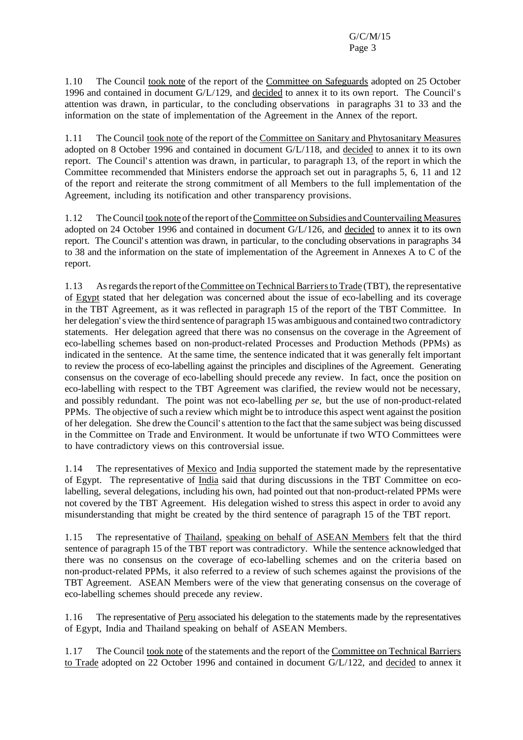1.10 The Council took note of the report of the Committee on Safeguards adopted on 25 October 1996 and contained in document G/L/129, and decided to annex it to its own report. The Council's attention was drawn, in particular, to the concluding observations in paragraphs 31 to 33 and the information on the state of implementation of the Agreement in the Annex of the report.

1.11 The Council took note of the report of the Committee on Sanitary and Phytosanitary Measures adopted on 8 October 1996 and contained in document G/L/118, and decided to annex it to its own report. The Council's attention was drawn, in particular, to paragraph 13, of the report in which the Committee recommended that Ministers endorse the approach set out in paragraphs 5, 6, 11 and 12 of the report and reiterate the strong commitment of all Members to the full implementation of the Agreement, including its notification and other transparency provisions.

1.12 TheCouncil took note ofthe report oftheCommittee on Subsidies andCountervailing Measures adopted on 24 October 1996 and contained in document G/L/126, and decided to annex it to its own report. The Council's attention was drawn, in particular, to the concluding observations in paragraphs 34 to 38 and the information on the state of implementation of the Agreement in Annexes A to C of the report.

1.13 As regards the report of the Committee on Technical Barriers to Trade (TBT), the representative of Egypt stated that her delegation was concerned about the issue of eco-labelling and its coverage in the TBT Agreement, as it was reflected in paragraph 15 of the report of the TBT Committee. In her delegation's view the third sentence of paragraph 15 was ambiguous and contained two contradictory statements. Her delegation agreed that there was no consensus on the coverage in the Agreement of eco-labelling schemes based on non-product-related Processes and Production Methods (PPMs) as indicated in the sentence. At the same time, the sentence indicated that it was generally felt important to review the process of eco-labelling against the principles and disciplines of the Agreement. Generating consensus on the coverage of eco-labelling should precede any review. In fact, once the position on eco-labelling with respect to the TBT Agreement was clarified, the review would not be necessary, and possibly redundant. The point was not eco-labelling *per se*, but the use of non-product-related PPMs. The objective of such a review which might be to introduce this aspect went against the position of her delegation. She drew the Council's attention to the fact that the same subject was being discussed in the Committee on Trade and Environment. It would be unfortunate if two WTO Committees were to have contradictory views on this controversial issue.

1.14 The representatives of Mexico and India supported the statement made by the representative of Egypt. The representative of India said that during discussions in the TBT Committee on ecolabelling, several delegations, including his own, had pointed out that non-product-related PPMs were not covered by the TBT Agreement. His delegation wished to stress this aspect in order to avoid any misunderstanding that might be created by the third sentence of paragraph 15 of the TBT report.

1.15 The representative of Thailand, speaking on behalf of ASEAN Members felt that the third sentence of paragraph 15 of the TBT report was contradictory. While the sentence acknowledged that there was no consensus on the coverage of eco-labelling schemes and on the criteria based on non-product-related PPMs, it also referred to a review of such schemes against the provisions of the TBT Agreement. ASEAN Members were of the view that generating consensus on the coverage of eco-labelling schemes should precede any review.

1.16 The representative of Peru associated his delegation to the statements made by the representatives of Egypt, India and Thailand speaking on behalf of ASEAN Members.

1.17 The Council took note of the statements and the report of the Committee on Technical Barriers to Trade adopted on 22 October 1996 and contained in document G/L/122, and decided to annex it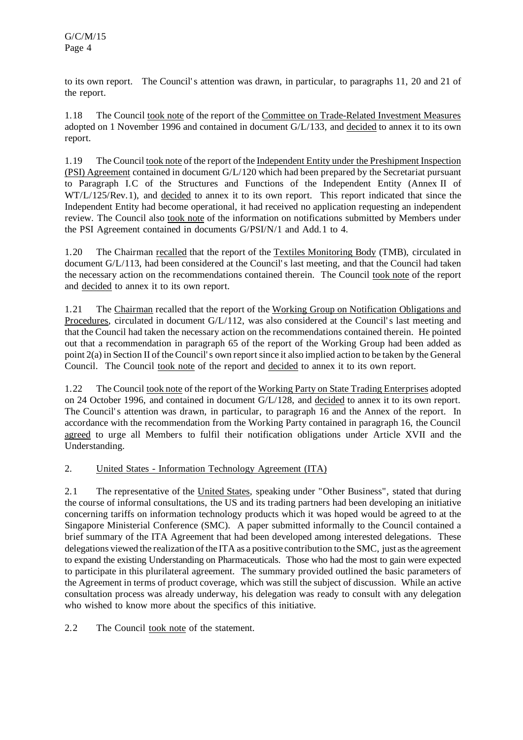to its own report. The Council's attention was drawn, in particular, to paragraphs 11, 20 and 21 of the report.

1.18 The Council took note of the report of the Committee on Trade-Related Investment Measures adopted on 1 November 1996 and contained in document G/L/133, and decided to annex it to its own report.

1.19 The Council took note of the report of the Independent Entity under the Preshipment Inspection (PSI) Agreement contained in document G/L/120 which had been prepared by the Secretariat pursuant to Paragraph I.C of the Structures and Functions of the Independent Entity (Annex II of WT/L/125/Rev.1), and decided to annex it to its own report. This report indicated that since the Independent Entity had become operational, it had received no application requesting an independent review. The Council also took note of the information on notifications submitted by Members under the PSI Agreement contained in documents G/PSI/N/1 and Add.1 to 4.

1.20 The Chairman recalled that the report of the Textiles Monitoring Body (TMB), circulated in document G/L/113, had been considered at the Council's last meeting, and that the Council had taken the necessary action on the recommendations contained therein. The Council took note of the report and decided to annex it to its own report.

1.21 The Chairman recalled that the report of the Working Group on Notification Obligations and Procedures, circulated in document G/L/112, was also considered at the Council's last meeting and that the Council had taken the necessary action on the recommendations contained therein. He pointed out that a recommendation in paragraph 65 of the report of the Working Group had been added as point 2(a) in Section II of the Council's own reportsince it also implied action to be taken by the General Council. The Council took note of the report and decided to annex it to its own report.

1.22 The Council took note of the report of the Working Party on State Trading Enterprises adopted on 24 October 1996, and contained in document G/L/128, and decided to annex it to its own report. The Council's attention was drawn, in particular, to paragraph 16 and the Annex of the report. In accordance with the recommendation from the Working Party contained in paragraph 16, the Council agreed to urge all Members to fulfil their notification obligations under Article XVII and the Understanding.

## 2. United States - Information Technology Agreement (ITA)

2.1 The representative of the United States, speaking under "Other Business", stated that during the course of informal consultations, the US and its trading partners had been developing an initiative concerning tariffs on information technology products which it was hoped would be agreed to at the Singapore Ministerial Conference (SMC). A paper submitted informally to the Council contained a brief summary of the ITA Agreement that had been developed among interested delegations. These delegations viewed the realization of the ITA as a positive contribution to the SMC, just as the agreement to expand the existing Understanding on Pharmaceuticals. Those who had the most to gain were expected to participate in this plurilateral agreement. The summary provided outlined the basic parameters of the Agreement in terms of product coverage, which was still the subject of discussion. While an active consultation process was already underway, his delegation was ready to consult with any delegation who wished to know more about the specifics of this initiative.

2.2 The Council took note of the statement.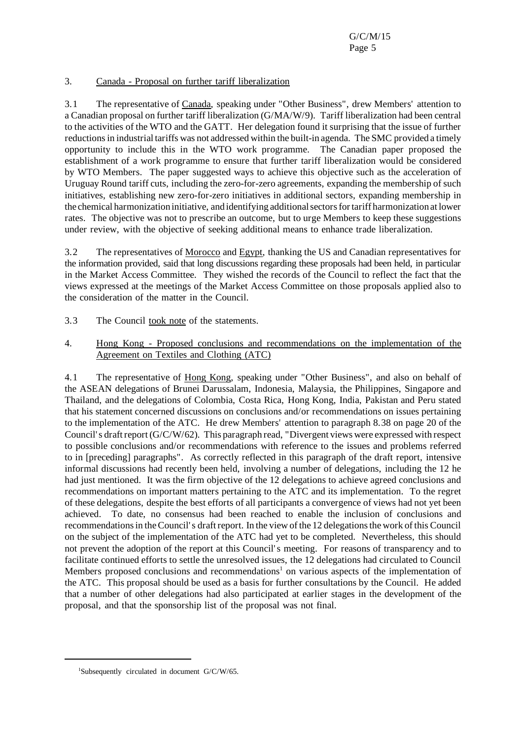#### 3. Canada - Proposal on further tariff liberalization

3.1 The representative of Canada, speaking under "Other Business", drew Members' attention to a Canadian proposal on further tariff liberalization (G/MA/W/9). Tariff liberalization had been central to the activities of the WTO and the GATT. Her delegation found it surprising that the issue of further reductions in industrial tariffs was not addressed within the built-in agenda. The SMC provided a timely opportunity to include this in the WTO work programme. The Canadian paper proposed the establishment of a work programme to ensure that further tariff liberalization would be considered by WTO Members. The paper suggested ways to achieve this objective such as the acceleration of Uruguay Round tariff cuts, including the zero-for-zero agreements, expanding the membership of such initiatives, establishing new zero-for-zero initiatives in additional sectors, expanding membership in the chemical harmonization initiative, and identifying additional sectors for tariff harmonization at lower rates. The objective was not to prescribe an outcome, but to urge Members to keep these suggestions under review, with the objective of seeking additional means to enhance trade liberalization.

3.2 The representatives of Morocco and Egypt, thanking the US and Canadian representatives for the information provided, said that long discussions regarding these proposals had been held, in particular in the Market Access Committee. They wished the records of the Council to reflect the fact that the views expressed at the meetings of the Market Access Committee on those proposals applied also to the consideration of the matter in the Council.

- 3.3 The Council took note of the statements.
- 4. Hong Kong Proposed conclusions and recommendations on the implementation of the Agreement on Textiles and Clothing (ATC)

4.1 The representative of Hong Kong, speaking under "Other Business", and also on behalf of the ASEAN delegations of Brunei Darussalam, Indonesia, Malaysia, the Philippines, Singapore and Thailand, and the delegations of Colombia, Costa Rica, Hong Kong, India, Pakistan and Peru stated that his statement concerned discussions on conclusions and/or recommendations on issues pertaining to the implementation of the ATC. He drew Members' attention to paragraph 8.38 on page 20 of the Council's draft report (G/C/W/62). This paragraph read, "Divergent views were expressed with respect to possible conclusions and/or recommendations with reference to the issues and problems referred to in [preceding] paragraphs". As correctly reflected in this paragraph of the draft report, intensive informal discussions had recently been held, involving a number of delegations, including the 12 he had just mentioned. It was the firm objective of the 12 delegations to achieve agreed conclusions and recommendations on important matters pertaining to the ATC and its implementation. To the regret of these delegations, despite the best efforts of all participants a convergence of views had not yet been achieved. To date, no consensus had been reached to enable the inclusion of conclusions and recommendations in the Council's draft report. In the view of the 12 delegations the work of this Council on the subject of the implementation of the ATC had yet to be completed. Nevertheless, this should not prevent the adoption of the report at this Council's meeting. For reasons of transparency and to facilitate continued efforts to settle the unresolved issues, the 12 delegations had circulated to Council Members proposed conclusions and recommendations<sup>1</sup> on various aspects of the implementation of the ATC. This proposal should be used as a basis for further consultations by the Council. He added that a number of other delegations had also participated at earlier stages in the development of the proposal, and that the sponsorship list of the proposal was not final.

<sup>&</sup>lt;sup>1</sup>Subsequently circulated in document G/C/W/65.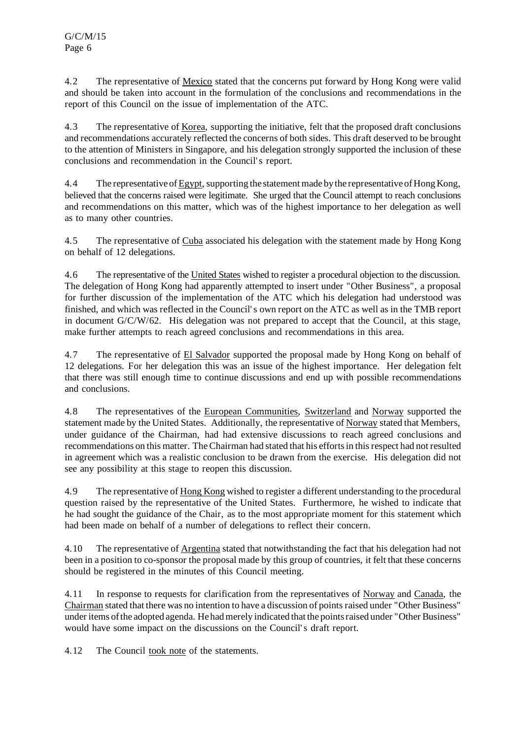4.2 The representative of Mexico stated that the concerns put forward by Hong Kong were valid and should be taken into account in the formulation of the conclusions and recommendations in the report of this Council on the issue of implementation of the ATC.

4.3 The representative of Korea, supporting the initiative, felt that the proposed draft conclusions and recommendations accurately reflected the concerns of both sides. This draft deserved to be brought to the attention of Ministers in Singapore, and his delegation strongly supported the inclusion of these conclusions and recommendation in the Council's report.

4.4 The representative of Egypt, supporting the statement made by the representative of Hong Kong, believed that the concerns raised were legitimate. She urged that the Council attempt to reach conclusions and recommendations on this matter, which was of the highest importance to her delegation as well as to many other countries.

4.5 The representative of Cuba associated his delegation with the statement made by Hong Kong on behalf of 12 delegations.

4.6 The representative of the United States wished to register a procedural objection to the discussion. The delegation of Hong Kong had apparently attempted to insert under "Other Business", a proposal for further discussion of the implementation of the ATC which his delegation had understood was finished, and which was reflected in the Council's own report on the ATC as well as in the TMB report in document G/C/W/62. His delegation was not prepared to accept that the Council, at this stage, make further attempts to reach agreed conclusions and recommendations in this area.

4.7 The representative of El Salvador supported the proposal made by Hong Kong on behalf of 12 delegations. For her delegation this was an issue of the highest importance. Her delegation felt that there was still enough time to continue discussions and end up with possible recommendations and conclusions.

4.8 The representatives of the European Communities, Switzerland and Norway supported the statement made by the United States. Additionally, the representative of Norway stated that Members, under guidance of the Chairman, had had extensive discussions to reach agreed conclusions and recommendations on this matter. The Chairman had stated that his effortsin thisrespect had notresulted in agreement which was a realistic conclusion to be drawn from the exercise. His delegation did not see any possibility at this stage to reopen this discussion.

4.9 The representative of Hong Kong wished to register a different understanding to the procedural question raised by the representative of the United States. Furthermore, he wished to indicate that he had sought the guidance of the Chair, as to the most appropriate moment for this statement which had been made on behalf of a number of delegations to reflect their concern.

4.10 The representative of Argentina stated that notwithstanding the fact that his delegation had not been in a position to co-sponsor the proposal made by this group of countries, it felt that these concerns should be registered in the minutes of this Council meeting.

4.11 In response to requests for clarification from the representatives of Norway and Canada, the Chairman stated that there was no intention to have a discussion of pointsraised under "Other Business" under items of the adopted agenda. He had merely indicated that the points raised under "Other Business" would have some impact on the discussions on the Council's draft report.

4.12 The Council took note of the statements.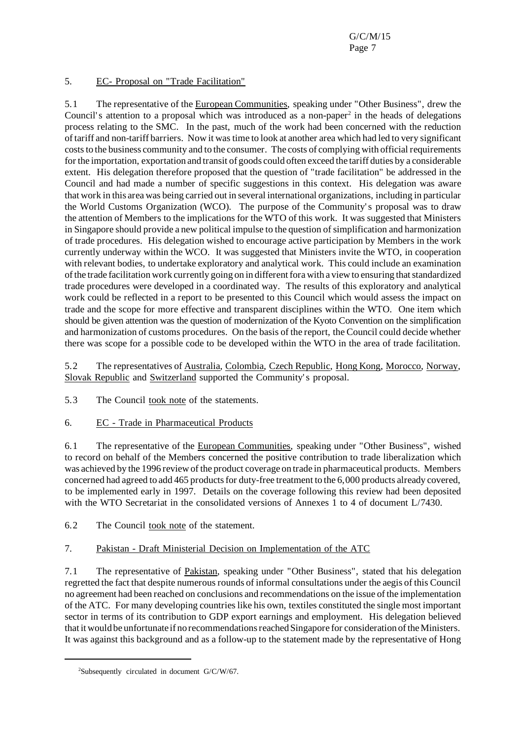#### 5. EC- Proposal on "Trade Facilitation"

5.1 The representative of the European Communities, speaking under "Other Business", drew the Council's attention to a proposal which was introduced as a non-paper<sup>2</sup> in the heads of delegations process relating to the SMC. In the past, much of the work had been concerned with the reduction of tariff and non-tariff barriers. Now it wastime to look at another area which had led to very significant costs to the business community and to the consumer. The costs of complying with official requirements forthe importation, exportation and transit of goods could often exceed the tariff duties by a considerable extent. His delegation therefore proposed that the question of "trade facilitation" be addressed in the Council and had made a number of specific suggestions in this context. His delegation was aware that work in this area was being carried out in several international organizations, including in particular the World Customs Organization (WCO). The purpose of the Community's proposal was to draw the attention of Members to the implications for the WTO of this work. It was suggested that Ministers in Singapore should provide a new political impulse to the question ofsimplification and harmonization of trade procedures. His delegation wished to encourage active participation by Members in the work currently underway within the WCO. It was suggested that Ministers invite the WTO, in cooperation with relevant bodies, to undertake exploratory and analytical work. This could include an examination of the trade facilitation work currently going on in different for a with a view to ensuring that standardized trade procedures were developed in a coordinated way. The results of this exploratory and analytical work could be reflected in a report to be presented to this Council which would assess the impact on trade and the scope for more effective and transparent disciplines within the WTO. One item which should be given attention was the question of modernization of the Kyoto Convention on the simplification and harmonization of customs procedures. On the basis of the report, the Council could decide whether there was scope for a possible code to be developed within the WTO in the area of trade facilitation.

5.2 The representatives of Australia, Colombia, Czech Republic, Hong Kong, Morocco, Norway, Slovak Republic and Switzerland supported the Community's proposal.

5.3 The Council took note of the statements.

## 6. EC - Trade in Pharmaceutical Products

6.1 The representative of the European Communities, speaking under "Other Business", wished to record on behalf of the Members concerned the positive contribution to trade liberalization which was achieved by the 1996 review of the product coverage on trade in pharmaceutical products. Members concerned had agreed to add 465 products for duty-free treatment to the 6,000 products already covered, to be implemented early in 1997. Details on the coverage following this review had been deposited with the WTO Secretariat in the consolidated versions of Annexes 1 to 4 of document L/7430.

6.2 The Council took note of the statement.

## 7. Pakistan - Draft Ministerial Decision on Implementation of the ATC

7.1 The representative of Pakistan, speaking under "Other Business", stated that his delegation regretted the fact that despite numerous rounds of informal consultations under the aegis of this Council no agreement had been reached on conclusions and recommendations on the issue of the implementation of the ATC. For many developing countrieslike his own, textiles constituted the single most important sector in terms of its contribution to GDP export earnings and employment. His delegation believed that it would be unfortunate if no recommendations reached Singapore for consideration of the Ministers. It was against this background and as a follow-up to the statement made by the representative of Hong

<sup>&</sup>lt;sup>2</sup>Subsequently circulated in document G/C/W/67.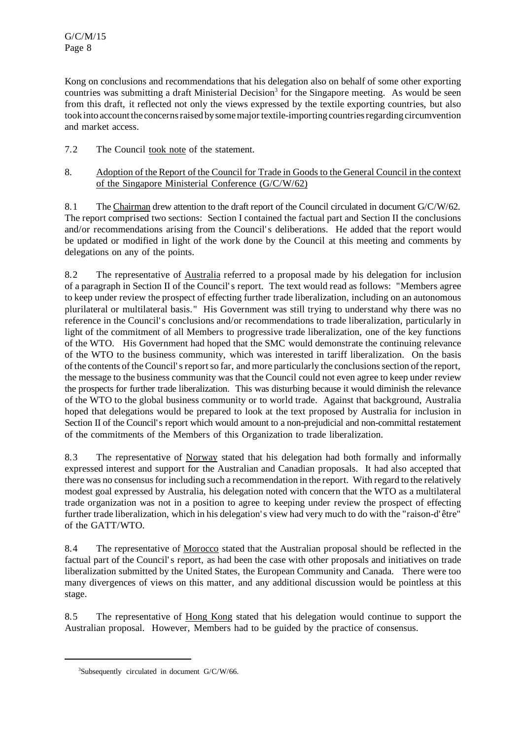Kong on conclusions and recommendations that his delegation also on behalf of some other exporting countries was submitting a draft Ministerial Decision<sup>3</sup> for the Singapore meeting. As would be seen from this draft, it reflected not only the views expressed by the textile exporting countries, but also took into account the concerns raised by some major textile-importing countries regarding circumvention and market access.

- 7.2 The Council took note of the statement.
- 8. Adoption of the Report of the Council for Trade in Goods to the General Council in the context of the Singapore Ministerial Conference (G/C/W/62)

8.1 The Chairman drew attention to the draft report of the Council circulated in document G/C/W/62. The report comprised two sections: Section I contained the factual part and Section II the conclusions and/or recommendations arising from the Council's deliberations. He added that the report would be updated or modified in light of the work done by the Council at this meeting and comments by delegations on any of the points.

8.2 The representative of Australia referred to a proposal made by his delegation for inclusion of a paragraph in Section II of the Council's report. The text would read as follows: "Members agree to keep under review the prospect of effecting further trade liberalization, including on an autonomous plurilateral or multilateral basis." His Government was still trying to understand why there was no reference in the Council's conclusions and/or recommendations to trade liberalization, particularly in light of the commitment of all Members to progressive trade liberalization, one of the key functions of the WTO. His Government had hoped that the SMC would demonstrate the continuing relevance of the WTO to the business community, which was interested in tariff liberalization. On the basis of the contents of the Council's report so far, and more particularly the conclusions section of the report, the message to the business community was that the Council could not even agree to keep under review the prospects for further trade liberalization. This was disturbing because it would diminish the relevance of the WTO to the global business community or to world trade. Against that background, Australia hoped that delegations would be prepared to look at the text proposed by Australia for inclusion in Section II of the Council's report which would amount to a non-prejudicial and non-committal restatement of the commitments of the Members of this Organization to trade liberalization.

8.3 The representative of Norway stated that his delegation had both formally and informally expressed interest and support for the Australian and Canadian proposals. It had also accepted that there was no consensusfor including such a recommendation in the report. With regard to the relatively modest goal expressed by Australia, his delegation noted with concern that the WTO as a multilateral trade organization was not in a position to agree to keeping under review the prospect of effecting further trade liberalization, which in his delegation's view had very much to do with the "raison-d'être" of the GATT/WTO.

8.4 The representative of Morocco stated that the Australian proposal should be reflected in the factual part of the Council's report, as had been the case with other proposals and initiatives on trade liberalization submitted by the United States, the European Community and Canada. There were too many divergences of views on this matter, and any additional discussion would be pointless at this stage.

8.5 The representative of <u>Hong Kong</u> stated that his delegation would continue to support the Australian proposal. However, Members had to be guided by the practice of consensus.

<sup>3</sup>Subsequently circulated in document G/C/W/66.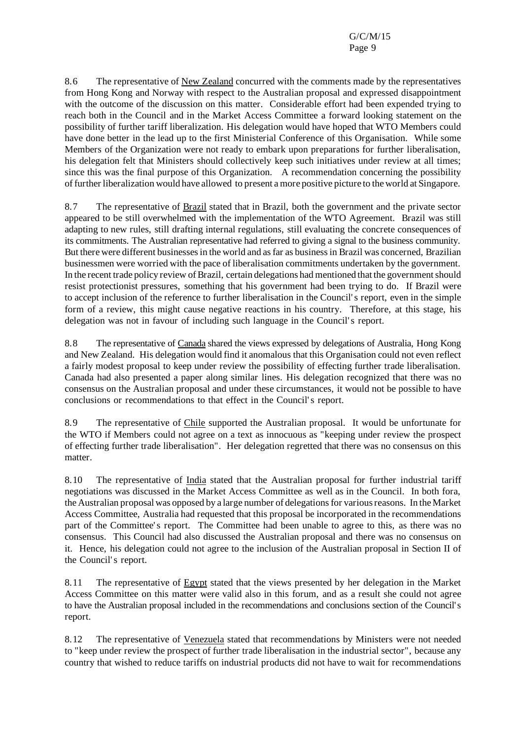8.6 The representative of New Zealand concurred with the comments made by the representatives from Hong Kong and Norway with respect to the Australian proposal and expressed disappointment with the outcome of the discussion on this matter. Considerable effort had been expended trying to reach both in the Council and in the Market Access Committee a forward looking statement on the possibility of further tariff liberalization. His delegation would have hoped that WTO Members could have done better in the lead up to the first Ministerial Conference of this Organisation. While some Members of the Organization were not ready to embark upon preparations for further liberalisation, his delegation felt that Ministers should collectively keep such initiatives under review at all times; since this was the final purpose of this Organization. A recommendation concerning the possibility of further liberalization would have allowed to present a more positive picture to the world at Singapore.

8.7 The representative of Brazil stated that in Brazil, both the government and the private sector appeared to be still overwhelmed with the implementation of the WTO Agreement. Brazil was still adapting to new rules, still drafting internal regulations, still evaluating the concrete consequences of its commitments. The Australian representative had referred to giving a signal to the business community. But there were different businessesin the world and asfar as businessin Brazil was concerned, Brazilian businessmen were worried with the pace of liberalisation commitments undertaken by the government. In the recent trade policy review of Brazil, certain delegations had mentioned that the government should resist protectionist pressures, something that his government had been trying to do. If Brazil were to accept inclusion of the reference to further liberalisation in the Council's report, even in the simple form of a review, this might cause negative reactions in his country. Therefore, at this stage, his delegation was not in favour of including such language in the Council's report.

8.8 The representative of Canada shared the views expressed by delegations of Australia, Hong Kong and New Zealand. His delegation would find it anomalous that this Organisation could not even reflect a fairly modest proposal to keep under review the possibility of effecting further trade liberalisation. Canada had also presented a paper along similar lines. His delegation recognized that there was no consensus on the Australian proposal and under these circumstances, it would not be possible to have conclusions or recommendations to that effect in the Council's report.

8.9 The representative of Chile supported the Australian proposal. It would be unfortunate for the WTO if Members could not agree on a text as innocuous as "keeping under review the prospect of effecting further trade liberalisation". Her delegation regretted that there was no consensus on this matter.

8.10 The representative of India stated that the Australian proposal for further industrial tariff negotiations was discussed in the Market Access Committee as well as in the Council. In both fora, the Australian proposal was opposed by a large number of delegations for various reasons. In the Market Access Committee, Australia had requested that this proposal be incorporated in the recommendations part of the Committee's report. The Committee had been unable to agree to this, as there was no consensus. This Council had also discussed the Australian proposal and there was no consensus on it. Hence, his delegation could not agree to the inclusion of the Australian proposal in Section II of the Council's report.

8.11 The representative of Egypt stated that the views presented by her delegation in the Market Access Committee on this matter were valid also in this forum, and as a result she could not agree to have the Australian proposal included in the recommendations and conclusions section of the Council's report.

8.12 The representative of Venezuela stated that recommendations by Ministers were not needed to "keep under review the prospect of further trade liberalisation in the industrial sector", because any country that wished to reduce tariffs on industrial products did not have to wait for recommendations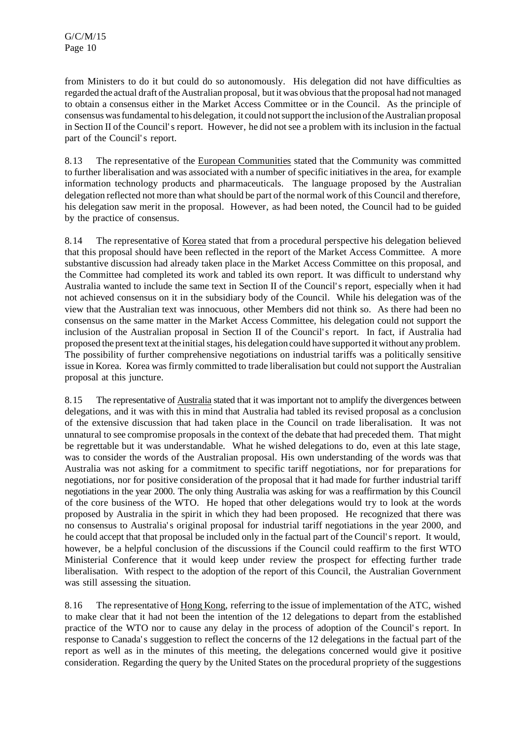from Ministers to do it but could do so autonomously. His delegation did not have difficulties as regarded the actual draft of the Australian proposal, but it was obviousthat the proposal had not managed to obtain a consensus either in the Market Access Committee or in the Council. As the principle of consensus was fundamental to his delegation, it could not support the inclusion of the Australian proposal in Section II of the Council's report. However, he did not see a problem with its inclusion in the factual part of the Council's report.

8.13 The representative of the European Communities stated that the Community was committed to further liberalisation and was associated with a number ofspecific initiativesin the area, for example information technology products and pharmaceuticals. The language proposed by the Australian delegation reflected not more than what should be part of the normal work of this Council and therefore, his delegation saw merit in the proposal. However, as had been noted, the Council had to be guided by the practice of consensus.

8.14 The representative of Korea stated that from a procedural perspective his delegation believed that this proposal should have been reflected in the report of the Market Access Committee. A more substantive discussion had already taken place in the Market Access Committee on this proposal, and the Committee had completed its work and tabled its own report. It was difficult to understand why Australia wanted to include the same text in Section II of the Council's report, especially when it had not achieved consensus on it in the subsidiary body of the Council. While his delegation was of the view that the Australian text was innocuous, other Members did not think so. As there had been no consensus on the same matter in the Market Access Committee, his delegation could not support the inclusion of the Australian proposal in Section II of the Council's report. In fact, if Australia had proposed the presenttext at the initialstages, his delegation could have supported it without any problem. The possibility of further comprehensive negotiations on industrial tariffs was a politically sensitive issue in Korea. Korea was firmly committed to trade liberalisation but could not support the Australian proposal at this juncture.

8.15 The representative of Australia stated that it was important not to amplify the divergences between delegations, and it was with this in mind that Australia had tabled its revised proposal as a conclusion of the extensive discussion that had taken place in the Council on trade liberalisation. It was not unnatural to see compromise proposals in the context of the debate that had preceded them. That might be regrettable but it was understandable. What he wished delegations to do, even at this late stage, was to consider the words of the Australian proposal. His own understanding of the words was that Australia was not asking for a commitment to specific tariff negotiations, nor for preparations for negotiations, nor for positive consideration of the proposal that it had made for further industrial tariff negotiations in the year 2000. The only thing Australia was asking for was a reaffirmation by this Council of the core business of the WTO. He hoped that other delegations would try to look at the words proposed by Australia in the spirit in which they had been proposed. He recognized that there was no consensus to Australia's original proposal for industrial tariff negotiations in the year 2000, and he could accept that that proposal be included only in the factual part of the Council's report. It would, however, be a helpful conclusion of the discussions if the Council could reaffirm to the first WTO Ministerial Conference that it would keep under review the prospect for effecting further trade liberalisation. With respect to the adoption of the report of this Council, the Australian Government was still assessing the situation.

8.16 The representative of Hong Kong, referring to the issue of implementation of the ATC, wished to make clear that it had not been the intention of the 12 delegations to depart from the established practice of the WTO nor to cause any delay in the process of adoption of the Council's report. In response to Canada's suggestion to reflect the concerns of the 12 delegations in the factual part of the report as well as in the minutes of this meeting, the delegations concerned would give it positive consideration. Regarding the query by the United States on the procedural propriety of the suggestions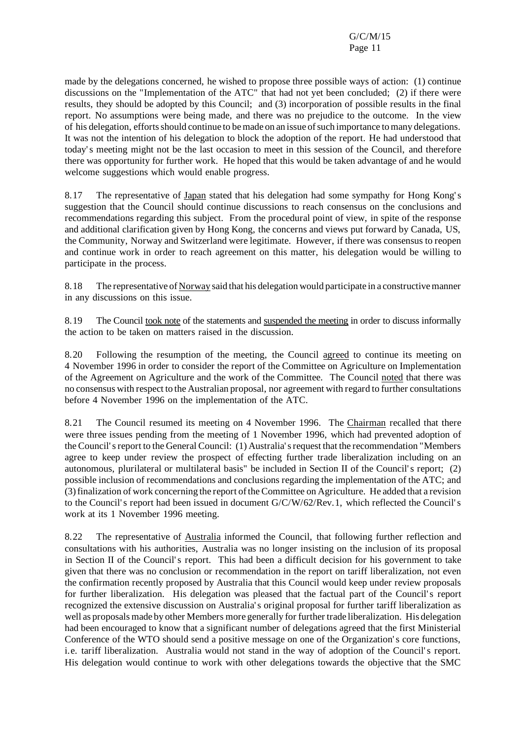made by the delegations concerned, he wished to propose three possible ways of action: (1) continue discussions on the "Implementation of the ATC" that had not yet been concluded; (2) if there were results, they should be adopted by this Council; and (3) incorporation of possible results in the final report. No assumptions were being made, and there was no prejudice to the outcome. In the view of his delegation, effortsshould continue to bemade on an issue ofsuch importance tomany delegations. It was not the intention of his delegation to block the adoption of the report. He had understood that today's meeting might not be the last occasion to meet in this session of the Council, and therefore there was opportunity for further work. He hoped that this would be taken advantage of and he would welcome suggestions which would enable progress.

8.17 The representative of Japan stated that his delegation had some sympathy for Hong Kong's suggestion that the Council should continue discussions to reach consensus on the conclusions and recommendations regarding this subject. From the procedural point of view, in spite of the response and additional clarification given by Hong Kong, the concerns and views put forward by Canada, US, the Community, Norway and Switzerland were legitimate. However, if there was consensus to reopen and continue work in order to reach agreement on this matter, his delegation would be willing to participate in the process.

8.18 The representative of Norway said that his delegation would participate in a constructivemanner in any discussions on this issue.

8.19 The Council took note of the statements and suspended the meeting in order to discuss informally the action to be taken on matters raised in the discussion.

8.20 Following the resumption of the meeting, the Council agreed to continue its meeting on 4 November 1996 in order to consider the report of the Committee on Agriculture on Implementation of the Agreement on Agriculture and the work of the Committee. The Council noted that there was no consensus with respect to the Australian proposal, nor agreement with regard to further consultations before 4 November 1996 on the implementation of the ATC.

8.21 The Council resumed its meeting on 4 November 1996. The Chairman recalled that there were three issues pending from the meeting of 1 November 1996, which had prevented adoption of the Council'sreport to the General Council: (1) Australia'srequest that the recommendation "Members agree to keep under review the prospect of effecting further trade liberalization including on an autonomous, plurilateral or multilateral basis" be included in Section II of the Council's report; (2) possible inclusion of recommendations and conclusions regarding the implementation of the ATC; and (3) finalization of work concerning the report of the Committee on Agriculture. He added that a revision to the Council's report had been issued in document G/C/W/62/Rev.1, which reflected the Council's work at its 1 November 1996 meeting.

8.22 The representative of Australia informed the Council, that following further reflection and consultations with his authorities, Australia was no longer insisting on the inclusion of its proposal in Section II of the Council's report. This had been a difficult decision for his government to take given that there was no conclusion or recommendation in the report on tariff liberalization, not even the confirmation recently proposed by Australia that this Council would keep under review proposals for further liberalization. His delegation was pleased that the factual part of the Council's report recognized the extensive discussion on Australia's original proposal for further tariff liberalization as well as proposals made by other Members more generally for further trade liberalization. His delegation had been encouraged to know that a significant number of delegations agreed that the first Ministerial Conference of the WTO should send a positive message on one of the Organization's core functions, i.e. tariff liberalization. Australia would not stand in the way of adoption of the Council's report. His delegation would continue to work with other delegations towards the objective that the SMC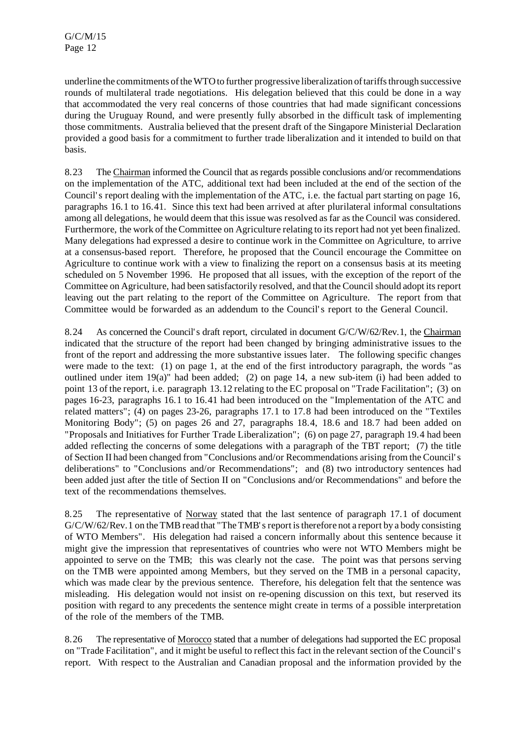underline the commitments of the WTO to further progressive liberalization of tariffs through successive rounds of multilateral trade negotiations. His delegation believed that this could be done in a way that accommodated the very real concerns of those countries that had made significant concessions during the Uruguay Round, and were presently fully absorbed in the difficult task of implementing those commitments. Australia believed that the present draft of the Singapore Ministerial Declaration provided a good basis for a commitment to further trade liberalization and it intended to build on that basis.

8.23 The Chairman informed the Council that asregards possible conclusions and/or recommendations on the implementation of the ATC, additional text had been included at the end of the section of the Council's report dealing with the implementation of the ATC, i.e. the factual part starting on page 16, paragraphs 16.1 to 16.41. Since this text had been arrived at after plurilateral informal consultations among all delegations, he would deem that this issue was resolved as far as the Council was considered. Furthermore, the work of the Committee on Agriculture relating to its report had not yet been finalized. Many delegations had expressed a desire to continue work in the Committee on Agriculture, to arrive at a consensus-based report. Therefore, he proposed that the Council encourage the Committee on Agriculture to continue work with a view to finalizing the report on a consensus basis at its meeting scheduled on 5 November 1996. He proposed that all issues, with the exception of the report of the Committee on Agriculture, had been satisfactorily resolved, and that the Council should adopt its report leaving out the part relating to the report of the Committee on Agriculture. The report from that Committee would be forwarded as an addendum to the Council's report to the General Council.

8.24 As concerned the Council's draft report, circulated in document G/C/W/62/Rev.1, the Chairman indicated that the structure of the report had been changed by bringing administrative issues to the front of the report and addressing the more substantive issues later. The following specific changes were made to the text: (1) on page 1, at the end of the first introductory paragraph, the words "as outlined under item  $19(a)$ " had been added; (2) on page 14, a new sub-item (i) had been added to point 13 of the report, i.e. paragraph 13.12 relating to the EC proposal on "Trade Facilitation"; (3) on pages 16-23, paragraphs 16.1 to 16.41 had been introduced on the "Implementation of the ATC and related matters"; (4) on pages 23-26, paragraphs 17.1 to 17.8 had been introduced on the "Textiles Monitoring Body"; (5) on pages 26 and 27, paragraphs 18.4, 18.6 and 18.7 had been added on "Proposals and Initiatives for Further Trade Liberalization"; (6) on page 27, paragraph 19.4 had been added reflecting the concerns of some delegations with a paragraph of the TBT report; (7) the title of Section II had been changed from "Conclusions and/or Recommendations arising from the Council's deliberations" to "Conclusions and/or Recommendations"; and (8) two introductory sentences had been added just after the title of Section II on "Conclusions and/or Recommendations" and before the text of the recommendations themselves.

8.25 The representative of Norway stated that the last sentence of paragraph 17.1 of document  $G/C/W/62/Rev.1$  on the TMB read that "The TMB's report is therefore not a report by a body consisting of WTO Members". His delegation had raised a concern informally about this sentence because it might give the impression that representatives of countries who were not WTO Members might be appointed to serve on the TMB; this was clearly not the case. The point was that persons serving on the TMB were appointed among Members, but they served on the TMB in a personal capacity, which was made clear by the previous sentence. Therefore, his delegation felt that the sentence was misleading. His delegation would not insist on re-opening discussion on this text, but reserved its position with regard to any precedents the sentence might create in terms of a possible interpretation of the role of the members of the TMB.

8.26 The representative of Morocco stated that a number of delegations had supported the EC proposal on "Trade Facilitation", and it might be useful to reflect this fact in the relevant section of the Council's report. With respect to the Australian and Canadian proposal and the information provided by the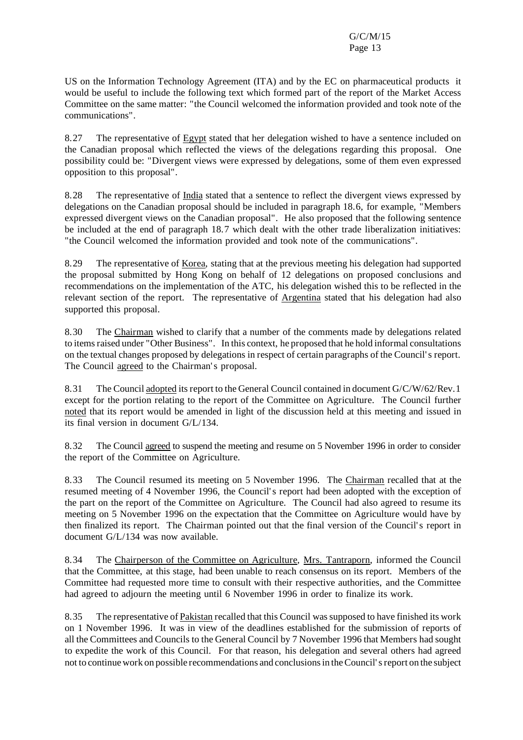US on the Information Technology Agreement (ITA) and by the EC on pharmaceutical products it would be useful to include the following text which formed part of the report of the Market Access Committee on the same matter: "the Council welcomed the information provided and took note of the communications".

8.27 The representative of Egypt stated that her delegation wished to have a sentence included on the Canadian proposal which reflected the views of the delegations regarding this proposal. One possibility could be: "Divergent views were expressed by delegations, some of them even expressed opposition to this proposal".

8.28 The representative of India stated that a sentence to reflect the divergent views expressed by delegations on the Canadian proposal should be included in paragraph 18.6, for example, "Members expressed divergent views on the Canadian proposal". He also proposed that the following sentence be included at the end of paragraph 18.7 which dealt with the other trade liberalization initiatives: "the Council welcomed the information provided and took note of the communications".

8.29 The representative of Korea, stating that at the previous meeting his delegation had supported the proposal submitted by Hong Kong on behalf of 12 delegations on proposed conclusions and recommendations on the implementation of the ATC, his delegation wished this to be reflected in the relevant section of the report. The representative of Argentina stated that his delegation had also supported this proposal.

8.30 The Chairman wished to clarify that a number of the comments made by delegations related to itemsraised under "Other Business". In this context, he proposed that he hold informal consultations on the textual changes proposed by delegations in respect of certain paragraphs of the Council's report. The Council agreed to the Chairman's proposal.

8.31 The Council adopted its report to the General Council contained in document G/C/W/62/Rev.1 except for the portion relating to the report of the Committee on Agriculture. The Council further noted that its report would be amended in light of the discussion held at this meeting and issued in its final version in document G/L/134.

8.32 The Council agreed to suspend the meeting and resume on 5 November 1996 in order to consider the report of the Committee on Agriculture.

8.33 The Council resumed its meeting on 5 November 1996. The Chairman recalled that at the resumed meeting of 4 November 1996, the Council's report had been adopted with the exception of the part on the report of the Committee on Agriculture. The Council had also agreed to resume its meeting on 5 November 1996 on the expectation that the Committee on Agriculture would have by then finalized its report. The Chairman pointed out that the final version of the Council's report in document G/L/134 was now available.

8.34 The Chairperson of the Committee on Agriculture, Mrs. Tantraporn, informed the Council that the Committee, at this stage, had been unable to reach consensus on its report. Members of the Committee had requested more time to consult with their respective authorities, and the Committee had agreed to adjourn the meeting until 6 November 1996 in order to finalize its work.

8.35 The representative of Pakistan recalled that this Council was supposed to have finished its work on 1 November 1996. It was in view of the deadlines established for the submission of reports of all the Committees and Councils to the General Council by 7 November 1996 that Members had sought to expedite the work of this Council. For that reason, his delegation and several others had agreed not to continue work on possible recommendations and conclusionsin theCouncil'sreport on the subject